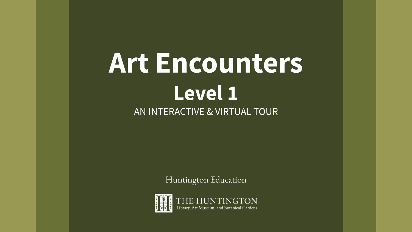# **Art Encounters Level 1** AN INTERACTIVE & VIRTUAL TOUR

Huntington Education

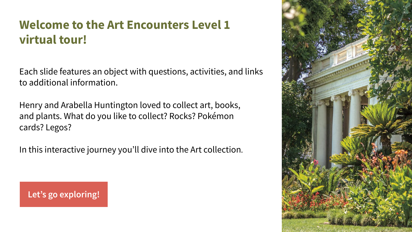# **Welcome to the Art Encounters Level 1 virtual tour!**

Each slide features an object with questions, activities, and links to additional information.

Henry and Arabella Huntington loved to collect art, books, and plants. What do you like to collect? Rocks? Pokémon cards? Legos?

In this interactive journey you'll dive into the Art collection.

**[Let's go exploring!](#page-2-0)**

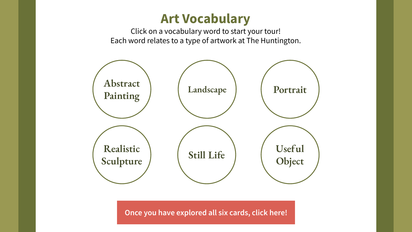# **Art Vocabulary**

Click on a vocabulary word to start your tour! Each word relates to a type of artwork at The Huntington.

<span id="page-2-0"></span>

**[Once you have explored all six cards, click here!](#page-9-0)**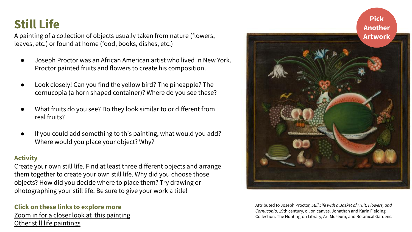# <span id="page-3-0"></span>**Still Life**

A painting of a collection of objects usually taken from nature (flowers, leaves, etc.) or found at home (food, books, dishes, etc.)

- Joseph Proctor was an African American artist who lived in New York. Proctor painted fruits and flowers to create his composition.
- Look closely! Can you find the yellow bird? The pineapple? The cornucopia (a horn shaped container)? Where do you see these?
- What fruits do you see? Do they look similar to or different from real fruits?
- If you could add something to this painting, what would you add? Where would you place your object? Why?

### **Activity**

Create your own still life. Find at least three different objects and arrange them together to create your own still life. Why did you choose those objects? How did you decide where to place them? Try drawing or photographing your still life. Be sure to give your work a title!

#### **Click on these links to explore more** [Zoom in for a closer look at this painting](https://emuseum.huntington.org/objects/55646/still-life-with-a-basket-of-fruit-flowers-and-cornucopia?ctx=752f154fad20f83cf65781bff47651923aa4908e&idx=0) [Other still life paintings](https://emuseum.huntington.org/search/still%20life)



Attributed to Joseph Proctor, *Still Life with a Basket of Fruit, Flowers, and Cornucopia,* 19th century, oil on canvas. Jonathan and Karin Fielding Collection. The Huntington Library, Art Museum, and Botanical Gardens.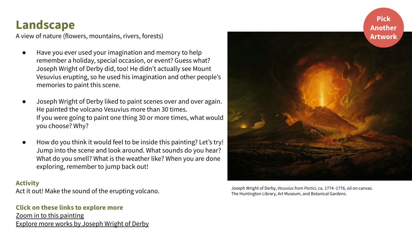## <span id="page-4-0"></span>**Landscape**

A view of nature (flowers, mountains, rivers, forests)

- Have you ever used your imagination and memory to help remember a holiday, special occasion, or event? Guess what? Joseph Wright of Derby did, too! He didn't actually see Mount Vesuvius erupting, so he used his imagination and other people's memories to paint this scene.
- Joseph Wright of Derby liked to paint scenes over and over again. He painted the volcano Vesuvius more than 30 times. If you were going to paint one thing 30 or more times, what would you choose? Why?
- How do you think it would feel to be inside this painting? Let's try! Jump into the scene and look around. What sounds do you hear? What do you smell? What is the weather like? When you are done exploring, remember to jump back out!

#### **Activity**

Act it out! Make the sound of the erupting volcano.

### **Click on these links to explore more** [Zoom in to this painting](http://emuseum.huntington.org/objects/6436/vesuvius-from-portici?ctx=ff3096f7-8c81-4e6e-a8ae-54bf7d6246ee&idx=0) [Explore more works by Joseph Wright of Derby](https://emuseum.huntington.org/people/209/joseph-wright-of-derby?ctx=af7e17c6339ae2f4367920019841f85317f29c10&idx=165)



**Pick** 

Joseph Wright of Derby, *Vesuvius from Portici,* ca. 1774–1776, oil on canvas. The Huntington Library, Art Museum, and Botanical Gardens.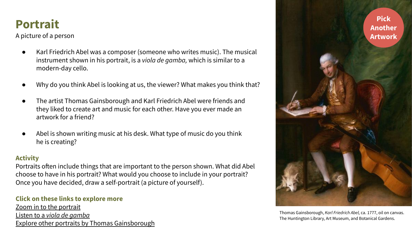# <span id="page-5-0"></span>**Portrait**

A picture of a person

- Karl Friedrich Abel was a composer (someone who writes music). The musical instrument shown in his portrait, is a *viola de gamba,* which is similar to a modern-day cello.
- Why do you think Abel is looking at us, the viewer? What makes you think that?
- The artist Thomas Gainsborough and Karl Friedrich Abel were friends and they liked to create art and music for each other. Have you ever made an artwork for a friend?
- Abel is shown writing music at his desk. What type of music do you think he is creating?

#### **Activity**

Portraits often include things that are important to the person shown. What did Abel choose to have in his portrait? What would you choose to include in your portrait? Once you have decided, draw a self-portrait (a picture of yourself).

#### **Click on these links to explore more**

[Zoom in to the portrait](http://emuseum.huntington.org/objects/274/karl-friedrich-abel?ctx=235fbb63-816c-4c4e-8c92-f8c48d446b8c&idx=0) Listen to a *[viola de gamba](https://www.youtube.com/watch?v=09J-ylTiS1U)* [Explore other portraits by Thomas Gainsborough](https://emuseum.huntington.org/people/40/thomas-gainsborough/objects)



Thomas Gainsborough, *Karl Friedrich Abel,* ca. 1777, oil on canvas. The Huntington Library, Art Museum, and Botanical Gardens.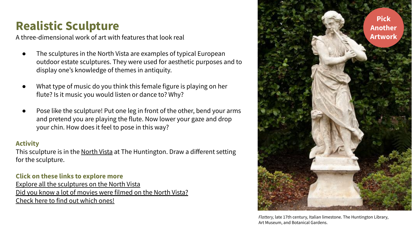# <span id="page-6-0"></span>**Realistic Sculpture**

A three-dimensional work of art with features that look real

- The sculptures in the North Vista are examples of typical European outdoor estate sculptures. They were used for aesthetic purposes and to display one's knowledge of themes in antiquity.
- What type of music do you think this female figure is playing on her flute? Is it music you would listen or dance to? Why?
- Pose like the sculpture! Put one leg in front of the other, bend your arms and pretend you are playing the flute. Now lower your gaze and drop your chin. How does it feel to pose in this way?

#### **Activity**

This sculpture is in the [North Vista](https://www.huntington.org/verso/2021/02/north-vistas-italian-sculptures) at The Huntington. Draw a different setting for the sculpture.

### **Click on these links to explore more**

[Explore all the sculptures on the North Vista](https://huntington.emuseum.com/collections/1402/outdoor-sculptures/objects?filter=collections%3AOutdoor%20Sculptures%3Bpeople%3A150740#filters) [Did you know a lot of movies were filmed on the North Vista?](https://www.huntington.org/verso/2018/08/muppets-take-huntington) [Check here to find out which ones!](https://www.huntington.org/verso/2018/08/muppets-take-huntington)



*Flattery,* late 17th century, Italian limestone. The Huntington Library, Art Museum, and Botanical Gardens.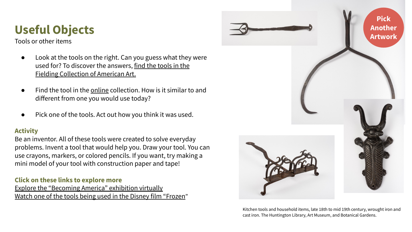# <span id="page-7-0"></span>**Useful Objects**

Tools or other items

- Look at the tools on the right. Can you guess what they were used for? To discover the answers, [find the tools in the](http://emuseum.huntington.org/search/tools/objects/images?filter=classifications%3ATOOLS%20AND%20EQUIPMENT%3Bdepartment%3AAmerican%20Art&page=1) [Fielding Collection of American Art.](http://emuseum.huntington.org/search/tools/objects/images?filter=classifications%3ATOOLS%20AND%20EQUIPMENT%3Bdepartment%3AAmerican%20Art&page=1)
- Find the tool in the [online](https://emuseum.huntington.org/collections/10240/jonathan-and-karin-fielding-collection/objects?filter=classifications%3ATOOLS%20AND%20EQUIPMENT#filters) collection. How is it similar to and different from one you would use today?
- Pick one of the tools. Act out how you think it was used.

### **Activity**

Be an inventor. All of these tools were created to solve everyday problems. Invent a tool that would help you. Draw your tool. You can use crayons, markers, or colored pencils. If you want, try making a mini model of your tool with construction paper and tape!

### **Click on these links to explore more**

[Explore the "Becoming America" exhibition virtually](https://www.huntington.org/becoming-america) [Watch one of the tools being used in the Disney film "Frozen](https://www.youtube.com/watch?v=1TXc2JbCjmw)"



Kitchen tools and household items, late 18th to mid 19th century, wrought iron and cast iron. The Huntington Library, Art Museum, and Botanical Gardens.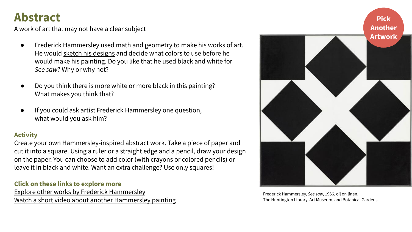### <span id="page-8-0"></span>**Abstract**

A work of art that may not have a clear subject

- Frederick Hammersley used math and geometry to make his works of art. He would [sketch his designs](https://www.huntington.org/news/news-release-exhibition-reveal-abstract-painter-frederick-hammersleys-unique-creative-process) and decide what colors to use before he would make his painting. Do you like that he used black and white for *See saw*? Why or why not?
- Do you think there is more white or more black in this painting? What makes you think that?
- If you could ask artist Frederick Hammersley one question, what would you ask him?

### **Activity**

Create your own Hammersley-inspired abstract work. Take a piece of paper and cut it into a square. Using a ruler or a straight edge and a pencil, draw your design on the paper. You can choose to add color (with crayons or colored pencils) or leave it in black and white. Want an extra challenge? Use only squares!

### **Click on these links to explore more**

[Explore other works by Frederick Hammersley](https://www.huntington.org/frederick-hammersley) [Watch a short video about another Hammersley painting](https://vimeo.com/425652439/12f422d6f4)



Frederick Hammersley, *See saw,* 1966, oil on linen. The Huntington Library, Art Museum, and Botanical Gardens.